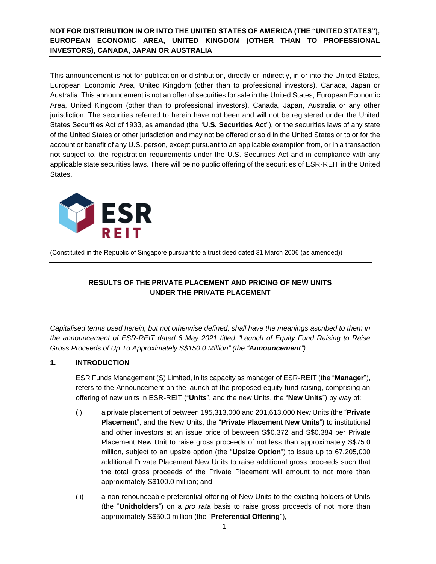# **NOT FOR DISTRIBUTION IN OR INTO THE UNITED STATES OF AMERICA (THE "UNITED STATES"), EUROPEAN ECONOMIC AREA, UNITED KINGDOM (OTHER THAN TO PROFESSIONAL INVESTORS), CANADA, JAPAN OR AUSTRALIA**

This announcement is not for publication or distribution, directly or indirectly, in or into the United States, European Economic Area, United Kingdom (other than to professional investors), Canada, Japan or Australia. This announcement is not an offer of securities for sale in the United States, European Economic Area, United Kingdom (other than to professional investors), Canada, Japan, Australia or any other jurisdiction. The securities referred to herein have not been and will not be registered under the United States Securities Act of 1933, as amended (the "**U.S. Securities Act**"), or the securities laws of any state of the United States or other jurisdiction and may not be offered or sold in the United States or to or for the account or benefit of any U.S. person, except pursuant to an applicable exemption from, or in a transaction not subject to, the registration requirements under the U.S. Securities Act and in compliance with any applicable state securities laws. There will be no public offering of the securities of ESR-REIT in the United States.



(Constituted in the Republic of Singapore pursuant to a trust deed dated 31 March 2006 (as amended))

# **RESULTS OF THE PRIVATE PLACEMENT AND PRICING OF NEW UNITS UNDER THE PRIVATE PLACEMENT**

*Capitalised terms used herein, but not otherwise defined, shall have the meanings ascribed to them in the announcement of ESR-REIT dated 6 May 2021 titled "Launch of Equity Fund Raising to Raise Gross Proceeds of Up To Approximately S\$150.0 Million" (the "Announcement").*

### **1. INTRODUCTION**

ESR Funds Management (S) Limited, in its capacity as manager of ESR-REIT (the "**Manager**"), refers to the Announcement on the launch of the proposed equity fund raising, comprising an offering of new units in ESR-REIT ("**Units**", and the new Units, the "**New Units**") by way of:

- (i) a private placement of between 195,313,000 and 201,613,000 New Units (the "**Private Placement**", and the New Units, the "**Private Placement New Units**") to institutional and other investors at an issue price of between S\$0.372 and S\$0.384 per Private Placement New Unit to raise gross proceeds of not less than approximately S\$75.0 million, subject to an upsize option (the "**Upsize Option**") to issue up to 67,205,000 additional Private Placement New Units to raise additional gross proceeds such that the total gross proceeds of the Private Placement will amount to not more than approximately S\$100.0 million; and
- (ii) a non-renounceable preferential offering of New Units to the existing holders of Units (the "**Unitholders**") on a *pro rata* basis to raise gross proceeds of not more than approximately S\$50.0 million (the "**Preferential Offering**"),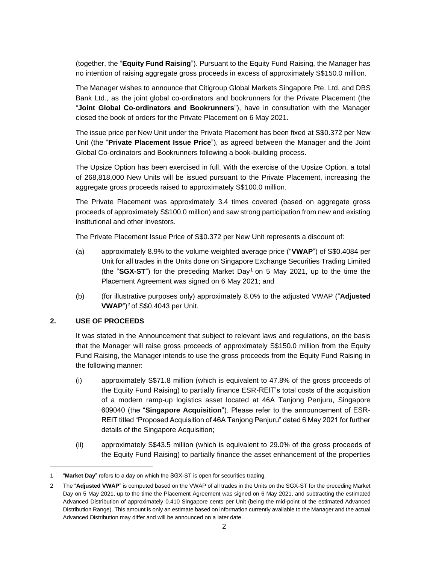(together, the "**Equity Fund Raising**"). Pursuant to the Equity Fund Raising, the Manager has no intention of raising aggregate gross proceeds in excess of approximately S\$150.0 million.

The Manager wishes to announce that Citigroup Global Markets Singapore Pte. Ltd. and DBS Bank Ltd., as the joint global co-ordinators and bookrunners for the Private Placement (the "**Joint Global Co-ordinators and Bookrunners**"), have in consultation with the Manager closed the book of orders for the Private Placement on 6 May 2021.

The issue price per New Unit under the Private Placement has been fixed at S\$0.372 per New Unit (the "**Private Placement Issue Price**"), as agreed between the Manager and the Joint Global Co-ordinators and Bookrunners following a book-building process.

The Upsize Option has been exercised in full. With the exercise of the Upsize Option, a total of 268,818,000 New Units will be issued pursuant to the Private Placement, increasing the aggregate gross proceeds raised to approximately S\$100.0 million.

The Private Placement was approximately 3.4 times covered (based on aggregate gross proceeds of approximately S\$100.0 million) and saw strong participation from new and existing institutional and other investors.

The Private Placement Issue Price of S\$0.372 per New Unit represents a discount of:

- (a) approximately 8.9% to the volume weighted average price ("**VWAP**") of S\$0.4084 per Unit for all trades in the Units done on Singapore Exchange Securities Trading Limited (the "SGX-ST") for the preceding Market Day<sup>1</sup> on 5 May 2021, up to the time the Placement Agreement was signed on 6 May 2021; and
- (b) (for illustrative purposes only) approximately 8.0% to the adjusted VWAP ("**Adjusted VWAP**") <sup>2</sup> of S\$0.4043 per Unit.

### **2. USE OF PROCEEDS**

It was stated in the Announcement that subject to relevant laws and regulations, on the basis that the Manager will raise gross proceeds of approximately S\$150.0 million from the Equity Fund Raising, the Manager intends to use the gross proceeds from the Equity Fund Raising in the following manner:

- (i) approximately S\$71.8 million (which is equivalent to 47.8% of the gross proceeds of the Equity Fund Raising) to partially finance ESR-REIT's total costs of the acquisition of a modern ramp-up logistics asset located at 46A Tanjong Penjuru, Singapore 609040 (the "**Singapore Acquisition**"). Please refer to the announcement of ESR-REIT titled "Proposed Acquisition of 46A Tanjong Penjuru" dated 6 May 2021 for further details of the Singapore Acquisition;
- (ii) approximately S\$43.5 million (which is equivalent to 29.0% of the gross proceeds of the Equity Fund Raising) to partially finance the asset enhancement of the properties

<sup>1</sup> "**Market Day**" refers to a day on which the SGX-ST is open for securities trading.

<sup>2</sup> The "**Adjusted VWAP**" is computed based on the VWAP of all trades in the Units on the SGX-ST for the preceding Market Day on 5 May 2021, up to the time the Placement Agreement was signed on 6 May 2021, and subtracting the estimated Advanced Distribution of approximately 0.410 Singapore cents per Unit (being the mid-point of the estimated Advanced Distribution Range). This amount is only an estimate based on information currently available to the Manager and the actual Advanced Distribution may differ and will be announced on a later date.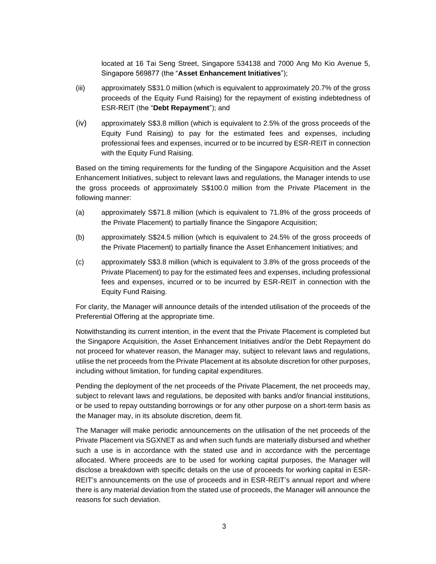located at 16 Tai Seng Street, Singapore 534138 and 7000 Ang Mo Kio Avenue 5, Singapore 569877 (the "**Asset Enhancement Initiatives**");

- (iii) approximately S\$31.0 million (which is equivalent to approximately 20.7% of the gross proceeds of the Equity Fund Raising) for the repayment of existing indebtedness of ESR-REIT (the "**Debt Repayment**"); and
- (iv) approximately S\$3.8 million (which is equivalent to 2.5% of the gross proceeds of the Equity Fund Raising) to pay for the estimated fees and expenses, including professional fees and expenses, incurred or to be incurred by ESR-REIT in connection with the Equity Fund Raising.

Based on the timing requirements for the funding of the Singapore Acquisition and the Asset Enhancement Initiatives, subject to relevant laws and regulations, the Manager intends to use the gross proceeds of approximately S\$100.0 million from the Private Placement in the following manner:

- (a) approximately S\$71.8 million (which is equivalent to 71.8% of the gross proceeds of the Private Placement) to partially finance the Singapore Acquisition;
- (b) approximately S\$24.5 million (which is equivalent to 24.5% of the gross proceeds of the Private Placement) to partially finance the Asset Enhancement Initiatives; and
- (c) approximately S\$3.8 million (which is equivalent to 3.8% of the gross proceeds of the Private Placement) to pay for the estimated fees and expenses, including professional fees and expenses, incurred or to be incurred by ESR-REIT in connection with the Equity Fund Raising.

For clarity, the Manager will announce details of the intended utilisation of the proceeds of the Preferential Offering at the appropriate time.

Notwithstanding its current intention, in the event that the Private Placement is completed but the Singapore Acquisition, the Asset Enhancement Initiatives and/or the Debt Repayment do not proceed for whatever reason, the Manager may, subject to relevant laws and regulations, utilise the net proceeds from the Private Placement at its absolute discretion for other purposes, including without limitation, for funding capital expenditures.

Pending the deployment of the net proceeds of the Private Placement, the net proceeds may, subject to relevant laws and regulations, be deposited with banks and/or financial institutions, or be used to repay outstanding borrowings or for any other purpose on a short-term basis as the Manager may, in its absolute discretion, deem fit.

The Manager will make periodic announcements on the utilisation of the net proceeds of the Private Placement via SGXNET as and when such funds are materially disbursed and whether such a use is in accordance with the stated use and in accordance with the percentage allocated. Where proceeds are to be used for working capital purposes, the Manager will disclose a breakdown with specific details on the use of proceeds for working capital in ESR-REIT's announcements on the use of proceeds and in ESR-REIT's annual report and where there is any material deviation from the stated use of proceeds, the Manager will announce the reasons for such deviation.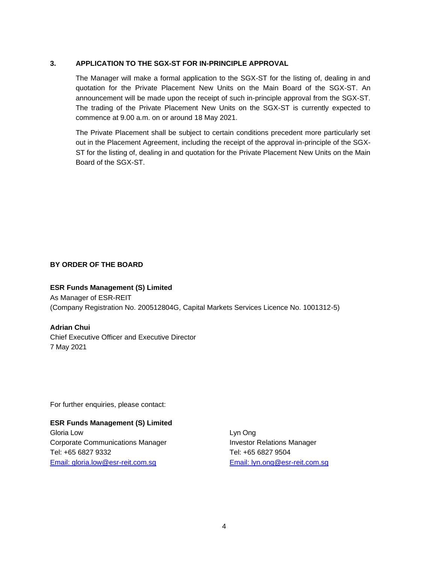### **3. APPLICATION TO THE SGX-ST FOR IN-PRINCIPLE APPROVAL**

The Manager will make a formal application to the SGX-ST for the listing of, dealing in and quotation for the Private Placement New Units on the Main Board of the SGX-ST. An announcement will be made upon the receipt of such in-principle approval from the SGX-ST. The trading of the Private Placement New Units on the SGX-ST is currently expected to commence at 9.00 a.m. on or around 18 May 2021.

The Private Placement shall be subject to certain conditions precedent more particularly set out in the Placement Agreement, including the receipt of the approval in-principle of the SGX-ST for the listing of, dealing in and quotation for the Private Placement New Units on the Main Board of the SGX-ST.

### **BY ORDER OF THE BOARD**

#### **ESR Funds Management (S) Limited**

As Manager of ESR-REIT (Company Registration No. 200512804G, Capital Markets Services Licence No. 1001312-5)

#### **Adrian Chui**

Chief Executive Officer and Executive Director 7 May 2021

For further enquiries, please contact:

## **ESR Funds Management (S) Limited**

Gloria Low Lyn Ong Corporate Communications Manager **Investor Relations Manager** Tel: +65 6827 9332 Tel: +65 6827 9504 [Email:](mailto:gloria.low@esr-reit.com.sg) gloria.low@esr-reit.com.sg [Email:](mailto:lyn.ong@esr-reit.com.sg) lyn.ong@esr-reit.com.sg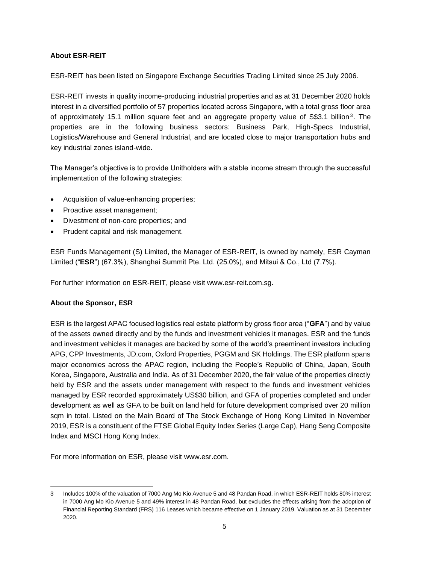## **About ESR-REIT**

ESR-REIT has been listed on Singapore Exchange Securities Trading Limited since 25 July 2006.

ESR-REIT invests in quality income-producing industrial properties and as at 31 December 2020 holds interest in a diversified portfolio of 57 properties located across Singapore, with a total gross floor area of approximately 15.1 million square feet and an aggregate property value of S\$3.1 billion<sup>3</sup>. The properties are in the following business sectors: Business Park, High-Specs Industrial, Logistics/Warehouse and General Industrial, and are located close to major transportation hubs and key industrial zones island-wide.

The Manager's objective is to provide Unitholders with a stable income stream through the successful implementation of the following strategies:

- Acquisition of value-enhancing properties;
- Proactive asset management;
- Divestment of non-core properties; and
- Prudent capital and risk management.

ESR Funds Management (S) Limited, the Manager of ESR-REIT, is owned by namely, ESR Cayman Limited ("**ESR**") (67.3%), Shanghai Summit Pte. Ltd. (25.0%), and Mitsui & Co., Ltd (7.7%).

For further information on ESR-REIT, please visit [www.esr-reit.com.sg.](http://www.esr-reit.com.sg/)

### **About the Sponsor, ESR**

ESR is the largest APAC focused logistics real estate platform by gross floor area ("**GFA**") and by value of the assets owned directly and by the funds and investment vehicles it manages. ESR and the funds and investment vehicles it manages are backed by some of the world's preeminent investors including APG, CPP Investments, JD.com, Oxford Properties, PGGM and SK Holdings. The ESR platform spans major economies across the APAC region, including the People's Republic of China, Japan, South Korea, Singapore, Australia and India. As of 31 December 2020, the fair value of the properties directly held by ESR and the assets under management with respect to the funds and investment vehicles managed by ESR recorded approximately US\$30 billion, and GFA of properties completed and under development as well as GFA to be built on land held for future development comprised over 20 million sqm in total. Listed on the Main Board of The Stock Exchange of Hong Kong Limited in November 2019, ESR is a constituent of the FTSE Global Equity Index Series (Large Cap), Hang Seng Composite Index and MSCI Hong Kong Index.

For more information on ESR, please visit [www.esr.com.](http://www.esr.com/)

<sup>3</sup> Includes 100% of the valuation of 7000 Ang Mo Kio Avenue 5 and 48 Pandan Road, in which ESR-REIT holds 80% interest in 7000 Ang Mo Kio Avenue 5 and 49% interest in 48 Pandan Road, but excludes the effects arising from the adoption of Financial Reporting Standard (FRS) 116 Leases which became effective on 1 January 2019. Valuation as at 31 December 2020.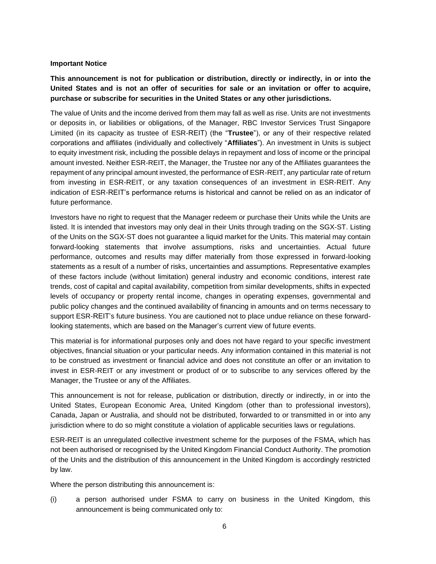#### **Important Notice**

**This announcement is not for publication or distribution, directly or indirectly, in or into the United States and is not an offer of securities for sale or an invitation or offer to acquire, purchase or subscribe for securities in the United States or any other jurisdictions.**

The value of Units and the income derived from them may fall as well as rise. Units are not investments or deposits in, or liabilities or obligations, of the Manager, RBC Investor Services Trust Singapore Limited (in its capacity as trustee of ESR-REIT) (the "**Trustee**"), or any of their respective related corporations and affiliates (individually and collectively "**Affiliates**"). An investment in Units is subject to equity investment risk, including the possible delays in repayment and loss of income or the principal amount invested. Neither ESR-REIT, the Manager, the Trustee nor any of the Affiliates guarantees the repayment of any principal amount invested, the performance of ESR-REIT, any particular rate of return from investing in ESR-REIT, or any taxation consequences of an investment in ESR-REIT. Any indication of ESR-REIT's performance returns is historical and cannot be relied on as an indicator of future performance.

Investors have no right to request that the Manager redeem or purchase their Units while the Units are listed. It is intended that investors may only deal in their Units through trading on the SGX-ST. Listing of the Units on the SGX-ST does not guarantee a liquid market for the Units. This material may contain forward-looking statements that involve assumptions, risks and uncertainties. Actual future performance, outcomes and results may differ materially from those expressed in forward-looking statements as a result of a number of risks, uncertainties and assumptions. Representative examples of these factors include (without limitation) general industry and economic conditions, interest rate trends, cost of capital and capital availability, competition from similar developments, shifts in expected levels of occupancy or property rental income, changes in operating expenses, governmental and public policy changes and the continued availability of financing in amounts and on terms necessary to support ESR-REIT's future business. You are cautioned not to place undue reliance on these forwardlooking statements, which are based on the Manager's current view of future events.

This material is for informational purposes only and does not have regard to your specific investment objectives, financial situation or your particular needs. Any information contained in this material is not to be construed as investment or financial advice and does not constitute an offer or an invitation to invest in ESR-REIT or any investment or product of or to subscribe to any services offered by the Manager, the Trustee or any of the Affiliates.

This announcement is not for release, publication or distribution, directly or indirectly, in or into the United States, European Economic Area, United Kingdom (other than to professional investors), Canada, Japan or Australia, and should not be distributed, forwarded to or transmitted in or into any jurisdiction where to do so might constitute a violation of applicable securities laws or regulations.

ESR-REIT is an unregulated collective investment scheme for the purposes of the FSMA, which has not been authorised or recognised by the United Kingdom Financial Conduct Authority. The promotion of the Units and the distribution of this announcement in the United Kingdom is accordingly restricted by law.

Where the person distributing this announcement is:

(i) a person authorised under FSMA to carry on business in the United Kingdom, this announcement is being communicated only to: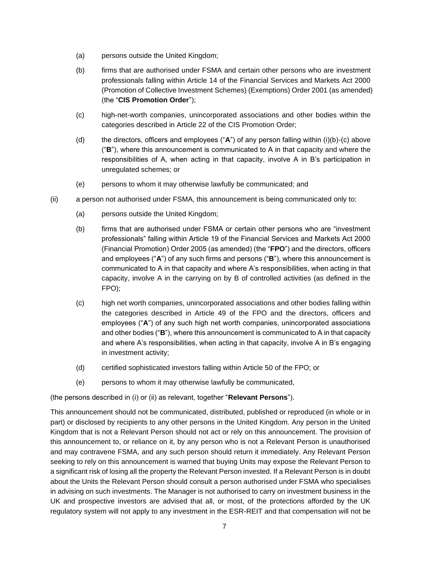- (a) persons outside the United Kingdom;
- (b) firms that are authorised under FSMA and certain other persons who are investment professionals falling within Article 14 of the Financial Services and Markets Act 2000 (Promotion of Collective Investment Schemes) (Exemptions) Order 2001 (as amended) (the "**CIS Promotion Order**");
- (c) high-net-worth companies, unincorporated associations and other bodies within the categories described in Article 22 of the CIS Promotion Order;
- (d) the directors, officers and employees ("**A**") of any person falling within (i)(b)-(c) above ("**B**"), where this announcement is communicated to A in that capacity and where the responsibilities of A, when acting in that capacity, involve A in B's participation in unregulated schemes; or
- (e) persons to whom it may otherwise lawfully be communicated; and
- (ii) a person not authorised under FSMA, this announcement is being communicated only to:
	- (a) persons outside the United Kingdom;
	- (b) firms that are authorised under FSMA or certain other persons who are "investment professionals" falling within Article 19 of the Financial Services and Markets Act 2000 (Financial Promotion) Order 2005 (as amended) (the "**FPO**") and the directors, officers and employees ("**A**") of any such firms and persons ("**B**"), where this announcement is communicated to A in that capacity and where A's responsibilities, when acting in that capacity, involve A in the carrying on by B of controlled activities (as defined in the FPO);
	- (c) high net worth companies, unincorporated associations and other bodies falling within the categories described in Article 49 of the FPO and the directors, officers and employees ("**A**") of any such high net worth companies, unincorporated associations and other bodies ("**B**"), where this announcement is communicated to A in that capacity and where A's responsibilities, when acting in that capacity, involve A in B's engaging in investment activity;
	- (d) certified sophisticated investors falling within Article 50 of the FPO; or
	- (e) persons to whom it may otherwise lawfully be communicated,

(the persons described in (i) or (ii) as relevant, together "**Relevant Persons**").

This announcement should not be communicated, distributed, published or reproduced (in whole or in part) or disclosed by recipients to any other persons in the United Kingdom. Any person in the United Kingdom that is not a Relevant Person should not act or rely on this announcement. The provision of this announcement to, or reliance on it, by any person who is not a Relevant Person is unauthorised and may contravene FSMA, and any such person should return it immediately. Any Relevant Person seeking to rely on this announcement is warned that buying Units may expose the Relevant Person to a significant risk of losing all the property the Relevant Person invested. If a Relevant Person is in doubt about the Units the Relevant Person should consult a person authorised under FSMA who specialises in advising on such investments. The Manager is not authorised to carry on investment business in the UK and prospective investors are advised that all, or most, of the protections afforded by the UK regulatory system will not apply to any investment in the ESR-REIT and that compensation will not be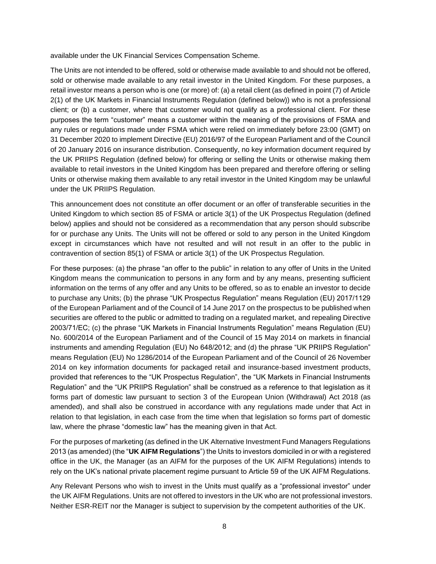available under the UK Financial Services Compensation Scheme.

The Units are not intended to be offered, sold or otherwise made available to and should not be offered, sold or otherwise made available to any retail investor in the United Kingdom. For these purposes, a retail investor means a person who is one (or more) of: (a) a retail client (as defined in point (7) of Article 2(1) of the UK Markets in Financial Instruments Regulation (defined below)) who is not a professional client; or (b) a customer, where that customer would not qualify as a professional client. For these purposes the term "customer" means a customer within the meaning of the provisions of FSMA and any rules or regulations made under FSMA which were relied on immediately before 23:00 (GMT) on 31 December 2020 to implement Directive (EU) 2016/97 of the European Parliament and of the Council of 20 January 2016 on insurance distribution. Consequently, no key information document required by the UK PRIIPS Regulation (defined below) for offering or selling the Units or otherwise making them available to retail investors in the United Kingdom has been prepared and therefore offering or selling Units or otherwise making them available to any retail investor in the United Kingdom may be unlawful under the UK PRIIPS Regulation.

This announcement does not constitute an offer document or an offer of transferable securities in the United Kingdom to which section 85 of FSMA or article 3(1) of the UK Prospectus Regulation (defined below) applies and should not be considered as a recommendation that any person should subscribe for or purchase any Units. The Units will not be offered or sold to any person in the United Kingdom except in circumstances which have not resulted and will not result in an offer to the public in contravention of section 85(1) of FSMA or article 3(1) of the UK Prospectus Regulation.

For these purposes: (a) the phrase "an offer to the public" in relation to any offer of Units in the United Kingdom means the communication to persons in any form and by any means, presenting sufficient information on the terms of any offer and any Units to be offered, so as to enable an investor to decide to purchase any Units; (b) the phrase "UK Prospectus Regulation" means Regulation (EU) 2017/1129 of the European Parliament and of the Council of 14 June 2017 on the prospectus to be published when securities are offered to the public or admitted to trading on a regulated market, and repealing Directive 2003/71/EC; (c) the phrase "UK Markets in Financial Instruments Regulation" means Regulation (EU) No. 600/2014 of the European Parliament and of the Council of 15 May 2014 on markets in financial instruments and amending Regulation (EU) No 648/2012; and (d) the phrase "UK PRIIPS Regulation" means Regulation (EU) No 1286/2014 of the European Parliament and of the Council of 26 November 2014 on key information documents for packaged retail and insurance-based investment products, provided that references to the "UK Prospectus Regulation", the "UK Markets in Financial Instruments Regulation" and the "UK PRIIPS Regulation" shall be construed as a reference to that legislation as it forms part of domestic law pursuant to section 3 of the European Union (Withdrawal) Act 2018 (as amended), and shall also be construed in accordance with any regulations made under that Act in relation to that legislation, in each case from the time when that legislation so forms part of domestic law, where the phrase "domestic law" has the meaning given in that Act.

For the purposes of marketing (as defined in the UK Alternative Investment Fund Managers Regulations 2013 (as amended) (the "**UK AIFM Regulations**") the Units to investors domiciled in or with a registered office in the UK, the Manager (as an AIFM for the purposes of the UK AIFM Regulations) intends to rely on the UK's national private placement regime pursuant to Article 59 of the UK AIFM Regulations.

Any Relevant Persons who wish to invest in the Units must qualify as a "professional investor" under the UK AIFM Regulations. Units are not offered to investors in the UK who are not professional investors. Neither ESR-REIT nor the Manager is subject to supervision by the competent authorities of the UK.